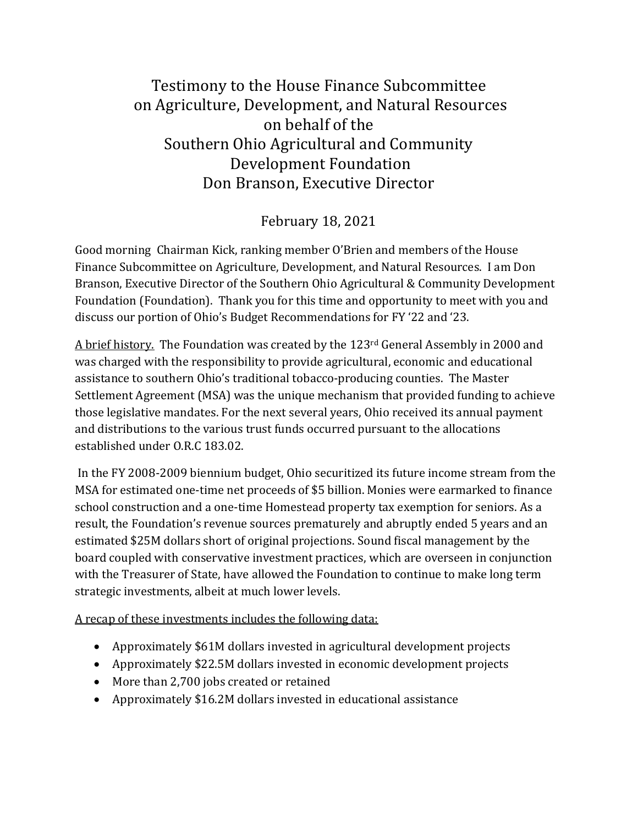## Testimony to the House Finance Subcommittee on Agriculture, Development, and Natural Resources on behalf of the Southern Ohio Agricultural and Community Development Foundation Don Branson, Executive Director

## February 18, 2021

Good morning Chairman Kick, ranking member O'Brien and members of the House Finance Subcommittee on Agriculture, Development, and Natural Resources. I am Don Branson, Executive Director of the Southern Ohio Agricultural & Community Development Foundation (Foundation). Thank you for this time and opportunity to meet with you and discuss our portion of Ohio's Budget Recommendations for FY '22 and '23.

A brief history. The Foundation was created by the 123rd General Assembly in 2000 and was charged with the responsibility to provide agricultural, economic and educational assistance to southern Ohio's traditional tobacco-producing counties. The Master Settlement Agreement (MSA) was the unique mechanism that provided funding to achieve those legislative mandates. For the next several years, Ohio received its annual payment and distributions to the various trust funds occurred pursuant to the allocations established under O.R.C 183.02.

In the FY 2008-2009 biennium budget, Ohio securitized its future income stream from the MSA for estimated one-time net proceeds of \$5 billion. Monies were earmarked to finance school construction and a one-time Homestead property tax exemption for seniors. As a result, the Foundation's revenue sources prematurely and abruptly ended 5 years and an estimated \$25M dollars short of original projections. Sound fiscal management by the board coupled with conservative investment practices, which are overseen in conjunction with the Treasurer of State, have allowed the Foundation to continue to make long term strategic investments, albeit at much lower levels.

A recap of these investments includes the following data:

- Approximately \$61M dollars invested in agricultural development projects
- Approximately \$22.5M dollars invested in economic development projects
- More than 2,700 jobs created or retained
- Approximately \$16.2M dollars invested in educational assistance